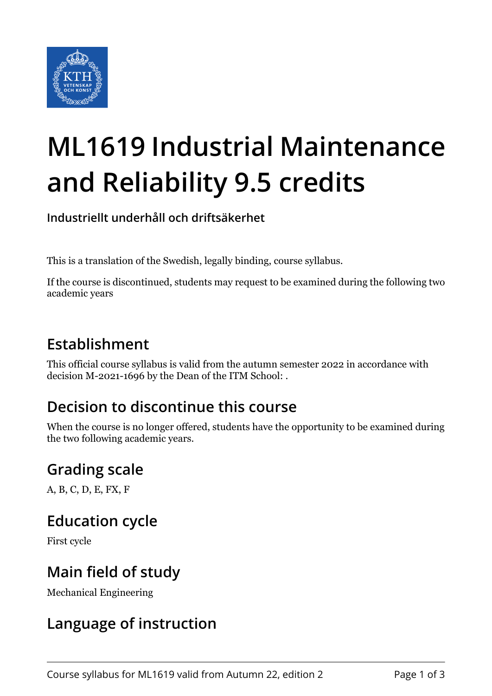

# **ML1619 Industrial Maintenance and Reliability 9.5 credits**

**Industriellt underhåll och driftsäkerhet**

This is a translation of the Swedish, legally binding, course syllabus.

If the course is discontinued, students may request to be examined during the following two academic years

# **Establishment**

This official course syllabus is valid from the autumn semester 2022 in accordance with decision M-2021-1696 by the Dean of the ITM School: .

# **Decision to discontinue this course**

When the course is no longer offered, students have the opportunity to be examined during the two following academic years.

# **Grading scale**

A, B, C, D, E, FX, F

# **Education cycle**

First cycle

#### **Main field of study**

Mechanical Engineering

#### **Language of instruction**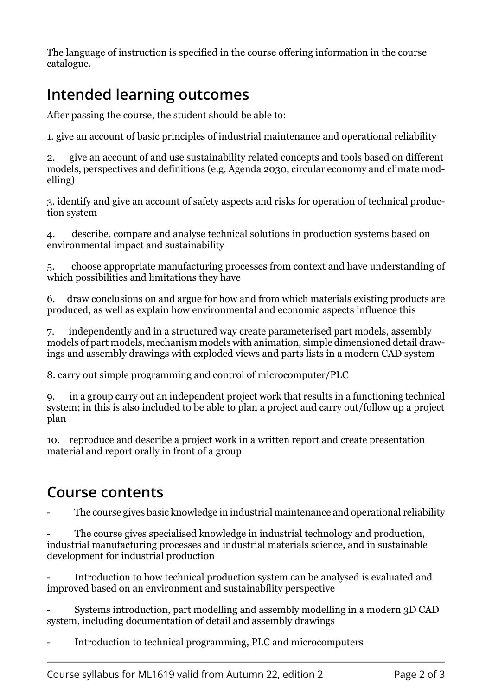The language of instruction is specified in the course offering information in the course catalogue.

# **Intended learning outcomes**

After passing the course, the student should be able to:

1. give an account of basic principles of industrial maintenance and operational reliability

2. give an account of and use sustainability related concepts and tools based on different models, perspectives and definitions (e.g. Agenda 2030, circular economy and climate modelling)

3. identify and give an account of safety aspects and risks for operation of technical production system

4. describe, compare and analyse technical solutions in production systems based on environmental impact and sustainability

5. choose appropriate manufacturing processes from context and have understanding of which possibilities and limitations they have

6. draw conclusions on and argue for how and from which materials existing products are produced, as well as explain how environmental and economic aspects influence this

7. independently and in a structured way create parameterised part models, assembly models of part models, mechanism models with animation, simple dimensioned detail drawings and assembly drawings with exploded views and parts lists in a modern CAD system

8. carry out simple programming and control of microcomputer/PLC

9. in a group carry out an independent project work that results in a functioning technical system; in this is also included to be able to plan a project and carry out/follow up a project plan

10. reproduce and describe a project work in a written report and create presentation material and report orally in front of a group

#### **Course contents**

The course gives basic knowledge in industrial maintenance and operational reliability

The course gives specialised knowledge in industrial technology and production, industrial manufacturing processes and industrial materials science, and in sustainable development for industrial production

Introduction to how technical production system can be analysed is evaluated and improved based on an environment and sustainability perspective

- Systems introduction, part modelling and assembly modelling in a modern 3D CAD system, including documentation of detail and assembly drawings

- Introduction to technical programming, PLC and microcomputers